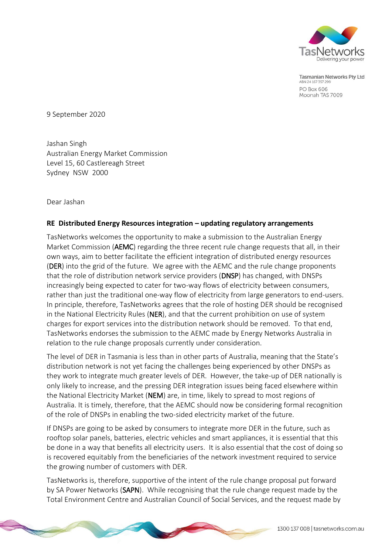

Tasmanian Networks Pty Ltd ABN 24 167 357 299 PO Box 606 Moonah TAS 7009

9 September 2020

Jashan Singh Australian Energy Market Commission Level 15, 60 Castlereagh Street Sydney NSW 2000

Dear Jashan

## **RE Distributed Energy Resources integration – updating regulatory arrangements**

TasNetworks welcomes the opportunity to make a submission to the Australian Energy Market Commission (AEMC) regarding the three recent rule change requests that all, in their own ways, aim to better facilitate the efficient integration of distributed energy resources (DER) into the grid of the future. We agree with the AEMC and the rule change proponents that the role of distribution network service providers (DNSP) has changed, with DNSPs increasingly being expected to cater for two-way flows of electricity between consumers, rather than just the traditional one-way flow of electricity from large generators to end-users. In principle, therefore, TasNetworks agrees that the role of hosting DER should be recognised in the National Electricity Rules (NER), and that the current prohibition on use of system charges for export services into the distribution network should be removed. To that end, TasNetworks endorses the submission to the AEMC made by Energy Networks Australia in relation to the rule change proposals currently under consideration.

The level of DER in Tasmania is less than in other parts of Australia, meaning that the State's distribution network is not yet facing the challenges being experienced by other DNSPs as they work to integrate much greater levels of DER. However, the take-up of DER nationally is only likely to increase, and the pressing DER integration issues being faced elsewhere within the National Electricity Market (NEM) are, in time, likely to spread to most regions of Australia. It is timely, therefore, that the AEMC should now be considering formal recognition of the role of DNSPs in enabling the two-sided electricity market of the future.

If DNSPs are going to be asked by consumers to integrate more DER in the future, such as rooftop solar panels, batteries, electric vehicles and smart appliances, it is essential that this be done in a way that benefits all electricity users. It is also essential that the cost of doing so is recovered equitably from the beneficiaries of the network investment required to service the growing number of customers with DER.

TasNetworks is, therefore, supportive of the intent of the rule change proposal put forward by SA Power Networks (SAPN). While recognising that the rule change request made by the Total Environment Centre and Australian Council of Social Services, and the request made by